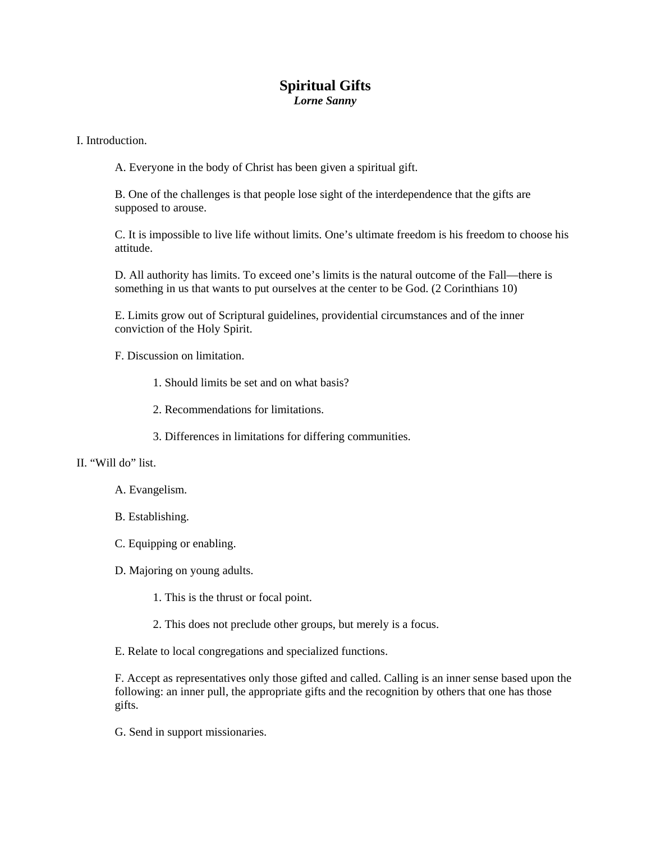## **Spiritual Gifts**  *Lorne Sanny*

## I. Introduction.

A. Everyone in the body of Christ has been given a spiritual gift.

B. One of the challenges is that people lose sight of the interdependence that the gifts are supposed to arouse.

C. It is impossible to live life without limits. One's ultimate freedom is his freedom to choose his attitude.

D. All authority has limits. To exceed one's limits is the natural outcome of the Fall—there is something in us that wants to put ourselves at the center to be God. (2 Corinthians 10)

E. Limits grow out of Scriptural guidelines, providential circumstances and of the inner conviction of the Holy Spirit.

F. Discussion on limitation.

- 1. Should limits be set and on what basis?
- 2. Recommendations for limitations.
- 3. Differences in limitations for differing communities.

## II. "Will do" list.

- A. Evangelism.
- B. Establishing.
- C. Equipping or enabling.
- D. Majoring on young adults.
	- 1. This is the thrust or focal point.
	- 2. This does not preclude other groups, but merely is a focus.

E. Relate to local congregations and specialized functions.

F. Accept as representatives only those gifted and called. Calling is an inner sense based upon the following: an inner pull, the appropriate gifts and the recognition by others that one has those gifts.

G. Send in support missionaries.